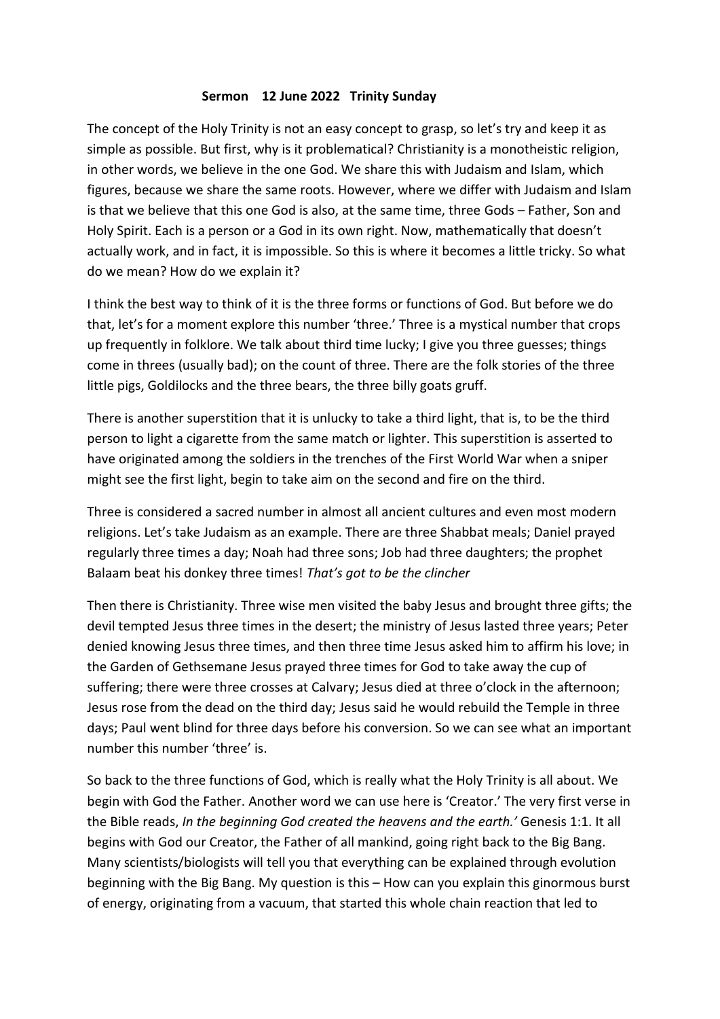## **Sermon 12 June 2022 Trinity Sunday**

The concept of the Holy Trinity is not an easy concept to grasp, so let's try and keep it as simple as possible. But first, why is it problematical? Christianity is a monotheistic religion, in other words, we believe in the one God. We share this with Judaism and Islam, which figures, because we share the same roots. However, where we differ with Judaism and Islam is that we believe that this one God is also, at the same time, three Gods – Father, Son and Holy Spirit. Each is a person or a God in its own right. Now, mathematically that doesn't actually work, and in fact, it is impossible. So this is where it becomes a little tricky. So what do we mean? How do we explain it?

I think the best way to think of it is the three forms or functions of God. But before we do that, let's for a moment explore this number 'three.' Three is a mystical number that crops up frequently in folklore. We talk about third time lucky; I give you three guesses; things come in threes (usually bad); on the count of three. There are the folk stories of the three little pigs, Goldilocks and the three bears, the three billy goats gruff.

There is another superstition that it is unlucky to take a third light, that is, to be the third person to light a cigarette from the same match or lighter. This superstition is asserted to have originated among the soldiers in the trenches of the First World War when a sniper might see the first light, begin to take aim on the second and fire on the third.

Three is considered a sacred number in almost all ancient cultures and even most modern religions. Let's take Judaism as an example. There are three Shabbat meals; Daniel prayed regularly three times a day; Noah had three sons; Job had three daughters; the prophet Balaam beat his donkey three times! *That's got to be the clincher*

Then there is Christianity. Three wise men visited the baby Jesus and brought three gifts; the devil tempted Jesus three times in the desert; the ministry of Jesus lasted three years; Peter denied knowing Jesus three times, and then three time Jesus asked him to affirm his love; in the Garden of Gethsemane Jesus prayed three times for God to take away the cup of suffering; there were three crosses at Calvary; Jesus died at three o'clock in the afternoon; Jesus rose from the dead on the third day; Jesus said he would rebuild the Temple in three days; Paul went blind for three days before his conversion. So we can see what an important number this number 'three' is.

So back to the three functions of God, which is really what the Holy Trinity is all about. We begin with God the Father. Another word we can use here is 'Creator.' The very first verse in the Bible reads, *In the beginning God created the heavens and the earth.'* Genesis 1:1. It all begins with God our Creator, the Father of all mankind, going right back to the Big Bang. Many scientists/biologists will tell you that everything can be explained through evolution beginning with the Big Bang. My question is this – How can you explain this ginormous burst of energy, originating from a vacuum, that started this whole chain reaction that led to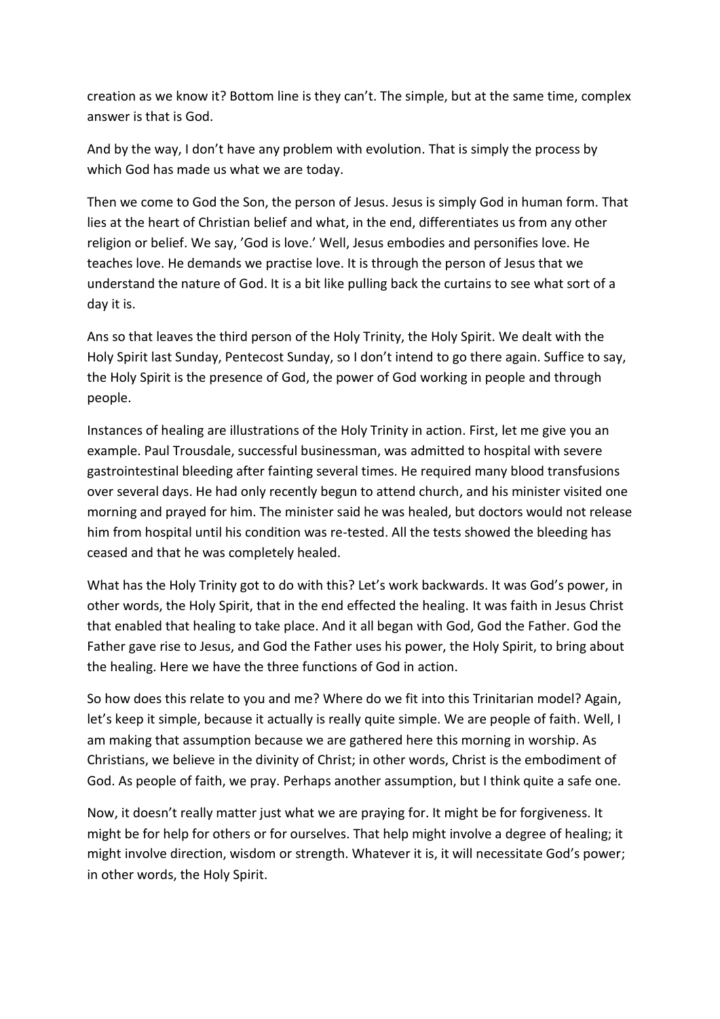creation as we know it? Bottom line is they can't. The simple, but at the same time, complex answer is that is God.

And by the way, I don't have any problem with evolution. That is simply the process by which God has made us what we are today.

Then we come to God the Son, the person of Jesus. Jesus is simply God in human form. That lies at the heart of Christian belief and what, in the end, differentiates us from any other religion or belief. We say, 'God is love.' Well, Jesus embodies and personifies love. He teaches love. He demands we practise love. It is through the person of Jesus that we understand the nature of God. It is a bit like pulling back the curtains to see what sort of a day it is.

Ans so that leaves the third person of the Holy Trinity, the Holy Spirit. We dealt with the Holy Spirit last Sunday, Pentecost Sunday, so I don't intend to go there again. Suffice to say, the Holy Spirit is the presence of God, the power of God working in people and through people.

Instances of healing are illustrations of the Holy Trinity in action. First, let me give you an example. Paul Trousdale, successful businessman, was admitted to hospital with severe gastrointestinal bleeding after fainting several times. He required many blood transfusions over several days. He had only recently begun to attend church, and his minister visited one morning and prayed for him. The minister said he was healed, but doctors would not release him from hospital until his condition was re-tested. All the tests showed the bleeding has ceased and that he was completely healed.

What has the Holy Trinity got to do with this? Let's work backwards. It was God's power, in other words, the Holy Spirit, that in the end effected the healing. It was faith in Jesus Christ that enabled that healing to take place. And it all began with God, God the Father. God the Father gave rise to Jesus, and God the Father uses his power, the Holy Spirit, to bring about the healing. Here we have the three functions of God in action.

So how does this relate to you and me? Where do we fit into this Trinitarian model? Again, let's keep it simple, because it actually is really quite simple. We are people of faith. Well, I am making that assumption because we are gathered here this morning in worship. As Christians, we believe in the divinity of Christ; in other words, Christ is the embodiment of God. As people of faith, we pray. Perhaps another assumption, but I think quite a safe one.

Now, it doesn't really matter just what we are praying for. It might be for forgiveness. It might be for help for others or for ourselves. That help might involve a degree of healing; it might involve direction, wisdom or strength. Whatever it is, it will necessitate God's power; in other words, the Holy Spirit.